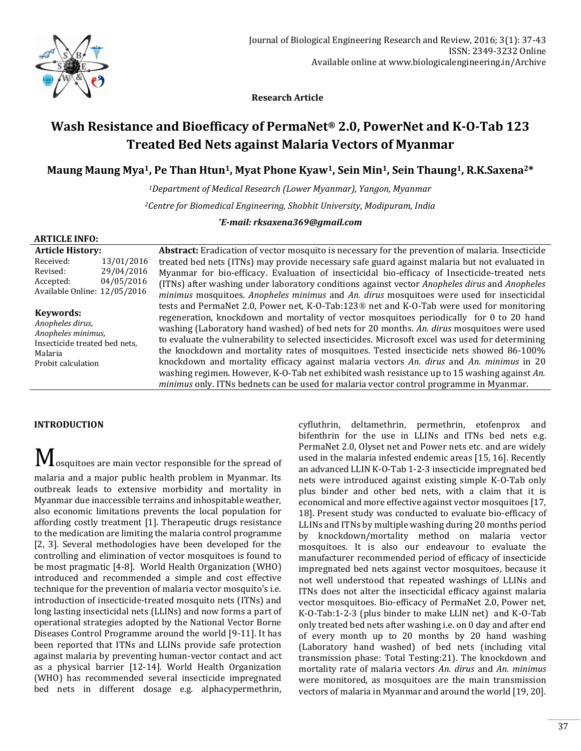

 **Research Article**

# **Wash Resistance and Bioefficacy of PermaNet® 2.0, PowerNet and K-O-Tab 123 Treated Bed Nets against Malaria Vectors of Myanmar**

# **Maung Maung Mya1, Pe Than Htun1, Myat Phone Kyaw1, Sein Min1, Sein Thaung1, R.K.Saxena2\***

*<sup>1</sup>Department of Medical Research (Lower Myanmar), Yangon, Myanmar*

*<sup>2</sup>Centre for Biomedical Engineering, Shobhit University, Modipuram, India*

*\*E-mail: rksaxena369@gmail.com*

### **ARTICLE INFO:**

**Article History:** Received: 13/01/2016 Revised: 29/04/2016 Accepted: 04/05/2016 Available Online: 12/05/2016

# **Keywords:**

*Anopheles dirus, Anopheles minimus,*  Insecticide treated bed nets, Malaria Probit calculation

**Abstract:** Eradication of vector mosquito is necessary for the prevention of malaria. Insecticide treated bed nets (ITNs) may provide necessary safe guard against malaria but not evaluated in Myanmar for bio-efficacy. Evaluation of insecticidal bio-efficacy of Insecticide-treated nets (ITNs) after washing under laboratory conditions against vector *Anopheles dirus* and *Anopheles minimus* mosquitoes. *Anopheles minimus* and *An. dirus* mosquitoes were used for insecticidal tests and PermaNet 2.0, Power net, K-O-Tab:123® net and K-O-Tab were used for monitoring regeneration, knockdown and mortality of vector mosquitoes periodically for 0 to 20 hand washing (Laboratory hand washed) of bed nets for 20 months. *An. dirus* mosquitoes were used to evaluate the vulnerability to selected insecticides. Microsoft excel was used for determining the knockdown and mortality rates of mosquitoes. Tested insecticide nets showed 86-100% knockdown and mortality efficacy against malaria vectors *An. dirus* and *An. minimus* in 20 washing regimen. However, K-O-Tab net exhibited wash resistance up to 15 washing against *An. minimus* only. ITNs bednets can be used for malaria vector control programme in Myanmar.

# **INTRODUCTION**

 $\bf M$  osquitoes are main vector responsible for the spread of

malaria and a major public health problem in Myanmar. Its outbreak leads to extensive morbidity and mortality in Myanmar due inaccessible terrains and inhospitable weather, also economic limitations prevents the local population for affording costly treatment [1]. Therapeutic drugs resistance to the medication are limiting the malaria control programme [2, 3]. Several methodologies have been developed for the controlling and elimination of vector mosquitoes is found to be most pragmatic [4-8]. World Health Organization (WHO) introduced and recommended a simple and cost effective technique for the prevention of malaria vector mosquito's i.e. introduction of insecticide-treated mosquito nets (ITNs) and long lasting insecticidal nets (LLINs) and now forms a part of operational strategies adopted by the National Vector Borne Diseases Control Programme around the world [9-11]. It has been reported that ITNs and LLINs provide safe protection against malaria by preventing human-vector contact and act as a physical barrier [12-14]. World Health Organization (WHO) has recommended several insecticide impregnated bed nets in different dosage e.g. alphacypermethrin,

cyfluthrin, deltamethrin, permethrin, etofenprox and bifenthrin for the use in LLINs and ITNs bed nets e.g. PermaNet 2.0, Olyset net and Power nets etc. and are widely used in the malaria infested endemic areas [15, 16]. Recently an advanced LLIN K-O-Tab 1-2-3 insecticide impregnated bed nets were introduced against existing simple K-O-Tab only plus binder and other bed nets, with a claim that it is economical and more effective against vector mosquitoes [17, 18]. Present study was conducted to evaluate bio-efficacy of LLINs and ITNs by multiple washing during 20 months period by knockdown/mortality method on malaria vector mosquitoes. It is also our endeavour to evaluate the manufacturer recommended period of efficacy of insecticide impregnated bed nets against vector mosquitoes, because it not well understood that repeated washings of LLINs and ITNs does not alter the insecticidal efficacy against malaria vector mosquitoes. Bio-efficacy of PermaNet 2.0, Power net, K-O-Tab:1-2-3 (plus binder to make LLIN net) and K-O-Tab only treated bed nets after washing i.e. on 0 day and after end of every month up to 20 months by 20 hand washing (Laboratory hand washed) of bed nets (including vital transmission phase: Total Testing:21). The knockdown and mortality rate of malaria vectors *An. dirus* and *An. minimus* were monitored, as mosquitoes are the main transmission vectors of malaria in Myanmar and around the world [19, 20].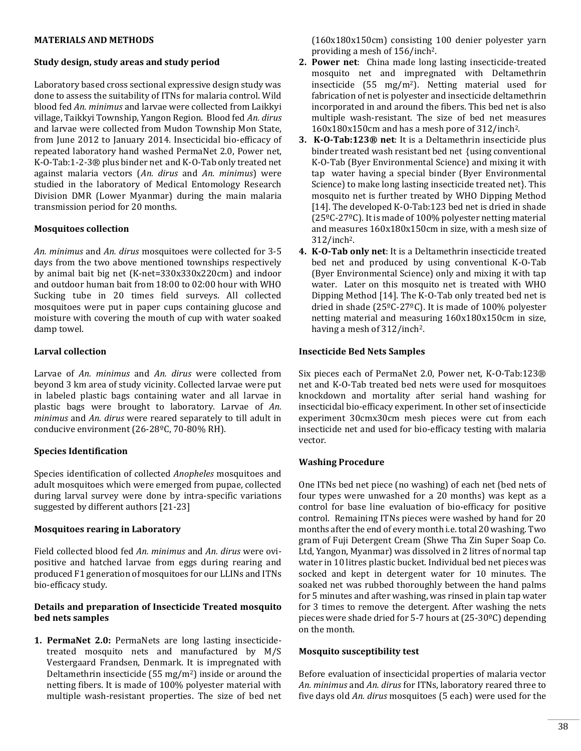### **MATERIALS AND METHODS**

### **Study design, study areas and study period**

Laboratory based cross sectional expressive design study was done to assess the suitability of ITNs for malaria control. Wild blood fed *An. minimus* and larvae were collected from Laikkyi village, Taikkyi Township, Yangon Region. Blood fed *An. dirus* and larvae were collected from Mudon Township Mon State, from June 2012 to January 2014. Insecticidal bio-efficacy of repeated laboratory hand washed PermaNet 2.0, Power net, K-O-Tab:1-2-3® plus binder net and K-O-Tab only treated net against malaria vectors (*An. dirus* and *An. minimus*) were studied in the laboratory of Medical Entomology Research Division DMR (Lower Myanmar) during the main malaria transmission period for 20 months.

### **Mosquitoes collection**

*An. minimus* and *An. dirus* mosquitoes were collected for 3-5 days from the two above mentioned townships respectively by animal bait big net (K-net=330x330x220cm) and indoor and outdoor human bait from 18:00 to 02:00 hour with WHO Sucking tube in 20 times field surveys. All collected mosquitoes were put in paper cups containing glucose and moisture with covering the mouth of cup with water soaked damp towel.

### **Larval collection**

Larvae of *An. minimus* and *An. dirus* were collected from beyond 3 km area of study vicinity. Collected larvae were put in labeled plastic bags containing water and all larvae in plastic bags were brought to laboratory. Larvae of *An. minimus* and *An. dirus* were reared separately to till adult in conducive environment (26-28ºC, 70-80% RH).

# **Species Identification**

Species identification of collected *Anopheles* mosquitoes and adult mosquitoes which were emerged from pupae, collected during larval survey were done by intra-specific variations suggested by different authors [21-23]

# **Mosquitoes rearing in Laboratory**

Field collected blood fed *An. minimus* and *An. dirus* were ovipositive and hatched larvae from eggs during rearing and produced F1 generation of mosquitoes for our LLINs and ITNs bio-efficacy study.

# **Details and preparation of Insecticide Treated mosquito bed nets samples**

**1. PermaNet 2.0:** PermaNets are long lasting insecticidetreated mosquito nets and manufactured by M/S Vestergaard Frandsen, Denmark. It is impregnated with Deltamethrin insecticide (55 mg/m<sup>2</sup>) inside or around the netting fibers. It is made of 100% polyester material with multiple wash-resistant properties. The size of bed net

(160x180x150cm) consisting 100 denier polyester yarn providing a mesh of 156/inch2.

- **2. Power net**: China made long lasting insecticide-treated mosquito net and impregnated with Deltamethrin insecticide (55 mg/m<sup>2</sup>). Netting material used for fabrication of net is polyester and insecticide deltamethrin incorporated in and around the fibers. This bed net is also multiple wash-resistant. The size of bed net measures 160x180x150cm and has a mesh pore of 312/inch2.
- **3. K-O-Tab:123® net**: It is a Deltamethrin insecticide plus binder treated wash resistant bed net {using conventional K-O-Tab (Byer Environmental Science) and mixing it with tap water having a special binder (Byer Environmental Science) to make long lasting insecticide treated net}. This mosquito net is further treated by WHO Dipping Method [14]. The developed K-O-Tab:123 bed net is dried in shade (25ºC-27ºC). It is made of 100% polyester netting material and measures 160x180x150cm in size, with a mesh size of 312/inch2.
- **4. K-O-Tab only net**: It is a Deltamethrin insecticide treated bed net and produced by using conventional K-O-Tab (Byer Environmental Science) only and mixing it with tap water. Later on this mosquito net is treated with WHO Dipping Method [14]. The K-O-Tab only treated bed net is dried in shade (25ºC-27ºC). It is made of 100% polyester netting material and measuring 160x180x150cm in size, having a mesh of 312/inch<sup>2</sup>.

### **Insecticide Bed Nets Samples**

Six pieces each of PermaNet 2.0, Power net, K-O-Tab:123® net and K-O-Tab treated bed nets were used for mosquitoes knockdown and mortality after serial hand washing for insecticidal bio-efficacy experiment. In other set of insecticide experiment 30cmx30cm mesh pieces were cut from each insecticide net and used for bio-efficacy testing with malaria vector.

# **Washing Procedure**

One ITNs bed net piece (no washing) of each net (bed nets of four types were unwashed for a 20 months) was kept as a control for base line evaluation of bio-efficacy for positive control. Remaining ITNs pieces were washed by hand for 20 months after the end of every month i.e. total 20 washing. Two gram of Fuji Detergent Cream (Shwe Tha Zin Super Soap Co. Ltd, Yangon, Myanmar) was dissolved in 2 litres of normal tap water in 10 litres plastic bucket. Individual bed net pieces was socked and kept in detergent water for 10 minutes. The soaked net was rubbed thoroughly between the hand palms for 5 minutes and after washing, was rinsed in plain tap water for 3 times to remove the detergent. After washing the nets pieces were shade dried for 5-7 hours at (25-30ºC) depending on the month.

### **Mosquito susceptibility test**

Before evaluation of insecticidal properties of malaria vector *An. minimus* and *An. dirus* for ITNs, laboratory reared three to five days old *An. dirus* mosquitoes (5 each) were used for the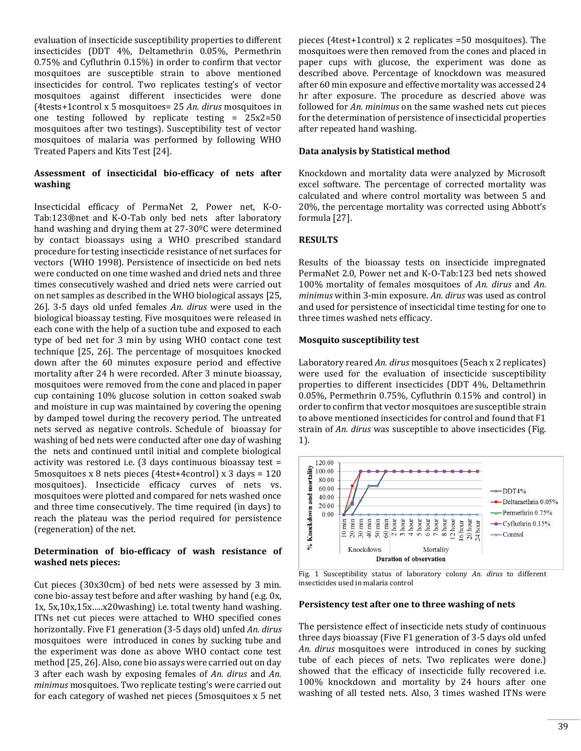evaluation of insecticide susceptibility properties to different insecticides (DDT 4%, Deltamethrin 0.05%, Permethrin 0.75% and Cyfluthrin 0.15%) in order to confirm that vector mosquitoes are susceptible strain to above mentioned insecticides for control. Two replicates testing's of vector mosquitoes against different insecticides were done (4tests+1control x 5 mosquitoes= 25 *An. dirus* mosquitoes in one testing followed by replicate testing  $= 25x^2=50$ mosquitoes after two testings). Susceptibility test of vector mosquitoes of malaria was performed by following WHO Treated Papers and Kits Test [24].

# **Assessment of insecticidal bio-efficacy of nets after washing**

Insecticidal efficacy of PermaNet 2, Power net, K-O-Tab:123®net and K-O-Tab only bed nets after laboratory hand washing and drying them at 27-30ºC were determined by contact bioassays using a WHO prescribed standard procedure for testing insecticide resistance of net surfaces for vectors (WHO 1998). Persistence of insecticide on bed nets were conducted on one time washed and dried nets and three times consecutively washed and dried nets were carried out on net samples as described in the WHO biological assays [25, 26]. 3-5 days old unfed females *An. dirus* were used in the biological bioassay testing. Five mosquitoes were released in each cone with the help of a suction tube and exposed to each type of bed net for 3 min by using WHO contact cone test technique [25, 26]. The percentage of mosquitoes knocked down after the 60 minutes exposure period and effective mortality after 24 h were recorded. After 3 minute bioassay, mosquitoes were removed from the cone and placed in paper cup containing 10% glucose solution in cotton soaked swab and moisture in cup was maintained by covering the opening by damped towel during the recovery period. The untreated nets served as negative controls. Schedule of bioassay for washing of bed nets were conducted after one day of washing the nets and continued until initial and complete biological activity was restored i.e. (3 days continuous bioassay test = 5mosquitoes x 8 nets pieces (4test+4control) x 3 days = 120 mosquitoes). Insecticide efficacy curves of nets vs. mosquitoes were plotted and compared for nets washed once and three time consecutively. The time required (in days) to reach the plateau was the period required for persistence (regeneration) of the net.

# **Determination of bio-efficacy of wash resistance of washed nets pieces:**

Cut pieces (30x30cm) of bed nets were assessed by 3 min. cone bio-assay test before and after washing by hand (e.g. 0x, 1x, 5x,10x,15x…..x20washing) i.e. total twenty hand washing. ITNs net cut pieces were attached to WHO specified cones horizontally. Five F1 generation (3-5 days old) unfed *An. dirus*  mosquitoes were introduced in cones by sucking tube and the experiment was done as above WHO contact cone test method [25, 26]. Also, cone bio assays were carried out on day 3 after each wash by exposing females of *An. dirus* and *An. minimus* mosquitoes. Two replicate testing's were carried out for each category of washed net pieces (5mosquitoes x 5 net

pieces (4test+1control) x 2 replicates =50 mosquitoes). The mosquitoes were then removed from the cones and placed in paper cups with glucose, the experiment was done as described above. Percentage of knockdown was measured after 60 min exposure and effective mortality was accessed 24 hr after exposure. The procedure as descried above was followed for *An. minimus* on the same washed nets cut pieces for the determination of persistence of insecticidal properties after repeated hand washing.

# **Data analysis by Statistical method**

Knockdown and mortality data were analyzed by Microsoft excel software. The percentage of corrected mortality was calculated and where control mortality was between 5 and 20%, the percentage mortality was corrected using Abbott's formula [27].

# **RESULTS**

Results of the bioassay tests on insecticide impregnated PermaNet 2.0, Power net and K-O-Tab:123 bed nets showed 100% mortality of females mosquitoes of *An. dirus* and *An. minimus* within 3-min exposure. *An. dirus* was used as control and used for persistence of insecticidal time testing for one to three times washed nets efficacy.

### **Mosquito susceptibility test**

Laboratory reared *An. dirus* mosquitoes (5each x 2 replicates) were used for the evaluation of insecticide susceptibility properties to different insecticides (DDT 4%, Deltamethrin 0.05%, Permethrin 0.75%, Cyfluthrin 0.15% and control) in order to confirm that vector mosquitoes are susceptible strain to above mentioned insecticides for control and found that F1 strain of *An. dirus* was susceptible to above insecticides (Fig. 1).



Fig. 1 Susceptibility status of laboratory colony *An. dirus* to different insecticides used in malaria control

### **Persistency test after one to three washing of nets**

The persistence effect of insecticide nets study of continuous three days bioassay (Five F1 generation of 3-5 days old unfed *An. dirus* mosquitoes were introduced in cones by sucking tube of each pieces of nets. Two replicates were done.) showed that the efficacy of insecticide fully recovered i.e. 100% knockdown and mortality by 24 hours after one washing of all tested nets. Also, 3 times washed ITNs were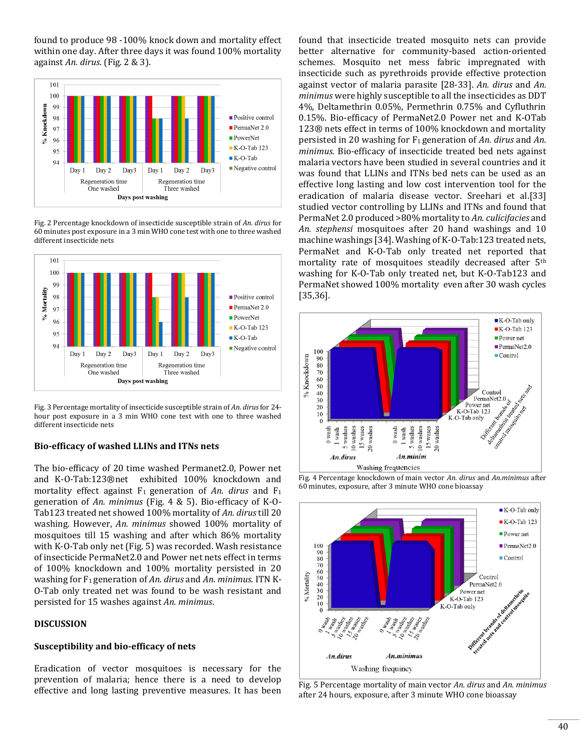found to produce 98 -100% knock down and mortality effect within one day. After three days it was found 100% mortality against *An. dirus*. (Fig. 2 & 3).



Fig. 2 Percentage knockdown of insecticide susceptible strain of *An. dirus* for 60 minutes post exposure in a 3 min WHO cone test with one to three washed different insecticide nets



Fig. 3 Percentage mortality of insecticide susceptible strain of *An. dirus* for 24 hour post exposure in a 3 min WHO cone test with one to three washed different insecticide nets

# **Bio-efficacy of washed LLINs and ITNs nets**

The bio-efficacy of 20 time washed Permanet2.0, Power net and K-O-Tab:123®net exhibited 100% knockdown and mortality effect against F1 generation of *An. dirus* and F<sup>1</sup> generation of *An. minimus* (Fig. 4 & 5). Bio-efficacy of K-O-Tab123 treated net showed 100% mortality of *An. dirus* till 20 washing. However, *An. minimus* showed 100% mortality of mosquitoes till 15 washing and after which 86% mortality with K-O-Tab only net (Fig. 5) was recorded. Wash resistance of insecticide PermaNet2.0 and Power net nets effect in terms of 100% knockdown and 100% mortality persisted in 20 washing for F1 generation of *An. dirus* and *An. minimus.* ITN K-O-Tab only treated net was found to be wash resistant and persisted for 15 washes against *An. minimus*.

### **DISCUSSION**

# **Susceptibility and bio-efficacy of nets**

Eradication of vector mosquitoes is necessary for the prevention of malaria; hence there is a need to develop effective and long lasting preventive measures. It has been found that insecticide treated mosquito nets can provide better alternative for community-based action-oriented schemes. Mosquito net mess fabric impregnated with insecticide such as pyrethroids provide effective protection against vector of malaria parasite [28-33]. *An. dirus* and *An. minimus* were highly susceptible to all the insecticides as DDT 4%, Deltamethrin 0.05%, Permethrin 0.75% and Cyfluthrin 0.15%. Bio-efficacy of PermaNet2.0 Power net and K-OTab 123® nets effect in terms of 100% knockdown and mortality persisted in 20 washing for F<sup>1</sup> generation of *An. dirus* and *An. minimus.* Bio-efficacy of insecticide treated bed nets against malaria vectors have been studied in several countries and it was found that LLINs and ITNs bed nets can be used as an effective long lasting and low cost intervention tool for the eradication of malaria disease vector. Sreehari et al.[33] studied vector controlling by LLINs and ITNs and found that PermaNet 2.0 produced >80% mortality to *An. culicifacies* and *An. stephensi* mosquitoes after 20 hand washings and 10 machine washings [34]. Washing of K-O-Tab:123 treated nets, PermaNet and K-O-Tab only treated net reported that mortality rate of mosquitoes steadily decreased after 5<sup>th</sup> washing for K-O-Tab only treated net, but K-O-Tab123 and PermaNet showed 100% mortality even after 30 wash cycles [35,36].







Fig. 5 Percentage mortality of main vector *An. dirus* and *An. minimus* after 24 hours, exposure, after 3 minute WHO cone bioassay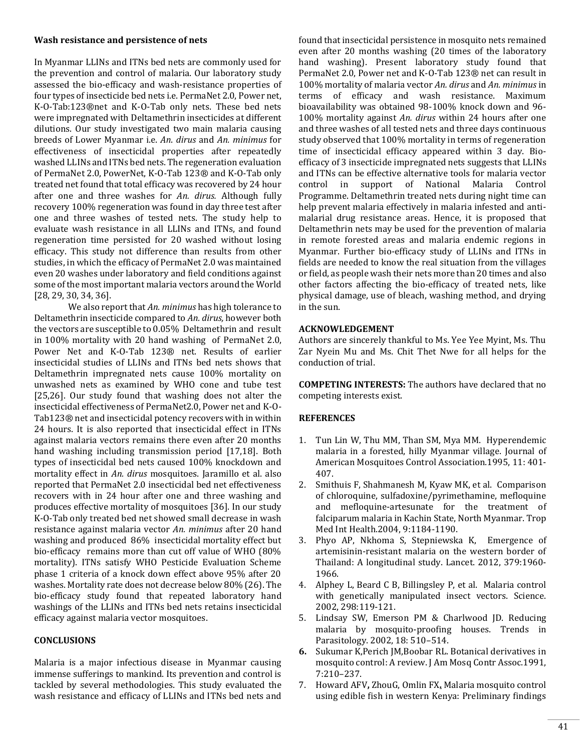#### **Wash resistance and persistence of nets**

In Myanmar LLINs and ITNs bed nets are commonly used for the prevention and control of malaria. Our laboratory study assessed the bio-efficacy and wash-resistance properties of four types of insecticide bed nets i.e. PermaNet 2.0, Power net, K-O-Tab:123®net and K-O-Tab only nets. These bed nets were impregnated with Deltamethrin insecticides at different dilutions. Our study investigated two main malaria causing breeds of Lower Myanmar i.e. *An*. *dirus* and *An. minimus* for effectiveness of insecticidal properties after repeatedly washed LLINs and ITNs bed nets. The regeneration evaluation of PermaNet 2.0, PowerNet, K-O-Tab 123® and K-O-Tab only treated net found that total efficacy was recovered by 24 hour after one and three washes for *An. dirus.* Although fully recovery 100% regeneration was found in day three test after one and three washes of tested nets. The study help to evaluate wash resistance in all LLINs and ITNs, and found regeneration time persisted for 20 washed without losing efficacy. This study not difference than results from other studies, in which the efficacy of PermaNet 2.0 was maintained even 20 washes under laboratory and field conditions against some of the most important malaria vectors around the World [28, 29, 30, 34, 36].

We also report that *An. minimus* has high tolerance to Deltamethrin insecticide compared to *An. dirus,* however both the vectors are susceptible to 0.05% Deltamethrin and result in 100% mortality with 20 hand washing of PermaNet 2.0, Power Net and K-O-Tab 123® net. Results of earlier insecticidal studies of LLINs and ITNs bed nets shows that Deltamethrin impregnated nets cause 100% mortality on unwashed nets as examined by WHO cone and tube test [25,26]. Our study found that washing does not alter the insecticidal effectiveness of PermaNet2.0, Power net and K-O-Tab123® net and insecticidal potency recovers with in within 24 hours. It is also reported that insecticidal effect in ITNs against malaria vectors remains there even after 20 months hand washing including transmission period [17,18]. Both types of insecticidal bed nets caused 100% knockdown and mortality effect in *An. dirus* mosquitoes. Jaramillo et al. also reported that PermaNet 2.0 insecticidal bed net effectiveness recovers with in 24 hour after one and three washing and produces effective mortality of mosquitoes [36]. In our study K-O-Tab only treated bed net showed small decrease in wash resistance against malaria vector *An. minimus* after 20 hand washing and produced 86% insecticidal mortality effect but bio-efficacy remains more than cut off value of WHO (80% mortality). ITNs satisfy WHO Pesticide Evaluation Scheme phase 1 criteria of a knock down effect above 95% after 20 washes. Mortality rate does not decrease below 80% (26). The bio-efficacy study found that repeated laboratory hand washings of the LLINs and ITNs bed nets retains insecticidal efficacy against malaria vector mosquitoes.

### **CONCLUSIONS**

Malaria is a major infectious disease in Myanmar causing immense sufferings to mankind. Its prevention and control is tackled by several methodologies. This study evaluated the wash resistance and efficacy of LLINs and ITNs bed nets and found that insecticidal persistence in mosquito nets remained even after 20 months washing (20 times of the laboratory hand washing). Present laboratory study found that PermaNet 2.0, Power net and K-O-Tab 123® net can result in 100% mortality of malaria vector *An. dirus* and *An. minimus* in terms of efficacy and wash resistance. Maximum bioavailability was obtained 98-100% knock down and 96- 100% mortality against *An. dirus* within 24 hours after one and three washes of all tested nets and three days continuous study observed that 100% mortality in terms of regeneration time of insecticidal efficacy appeared within 3 day. Bioefficacy of 3 insecticide impregnated nets suggests that LLINs and ITNs can be effective alternative tools for malaria vector control in support of National Malaria Control Programme. Deltamethrin treated nets during night time can help prevent malaria effectively in malaria infested and antimalarial drug resistance areas. Hence, it is proposed that Deltamethrin nets may be used for the prevention of malaria in remote forested areas and malaria endemic regions in Myanmar. Further bio-efficacy study of LLINs and ITNs in fields are needed to know the real situation from the villages or field, as people wash their nets more than 20 times and also other factors affecting the bio-efficacy of treated nets, like physical damage, use of bleach, washing method, and drying in the sun.

### **ACKNOWLEDGEMENT**

Authors are sincerely thankful to Ms. Yee Yee Myint, Ms. Thu Zar Nyein Mu and Ms. Chit Thet Nwe for all helps for the conduction of trial.

**COMPETING INTERESTS:** The authors have declared that no competing interests exist.

# **REFERENCES**

- 1. Tun Lin W, Thu MM, Than SM, Mya MM. Hyperendemic malaria in a forested, hilly Myanmar village. Journal of American Mosquitoes Control Association.1995, 11: 401- 407.
- 2. Smithuis F, Shahmanesh M, Kyaw MK, et al. Comparison of chloroquine, sulfadoxine/pyrimethamine, mefloquine and mefloquine-artesunate for the treatment of falciparum malaria in Kachin State, North Myanmar. Trop Med Int Health.2004, 9:1184-1190.
- 3. Phyo AP, Nkhoma S, Stepniewska K, Emergence of artemisinin-resistant malaria on the western border of Thailand: A longitudinal study. Lancet. 2012, 379:1960- 1966.
- 4. Alphey L, Beard C B, Billingsley P, et al. Malaria control with genetically manipulated insect vectors. Science. 2002, 298:119-121.
- 5. Lindsay SW, Emerson PM & Charlwood JD. Reducing malaria by mosquito-proofing houses. Trends in Parasitology. 2002, 18: 510–514.
- **6.** Sukumar K,Perich JM,Boobar RL. Botanical derivatives in mosquito control: A review. J Am Mosq Contr Assoc.1991, 7:210–237.
- 7. Howard AFV**,** ZhouG, Omlin F[X](http://www.biomedcentral.com/1471-2458/7/199/#ins1)**.** Malaria mosquito control using edible fish in western Kenya: Preliminary findings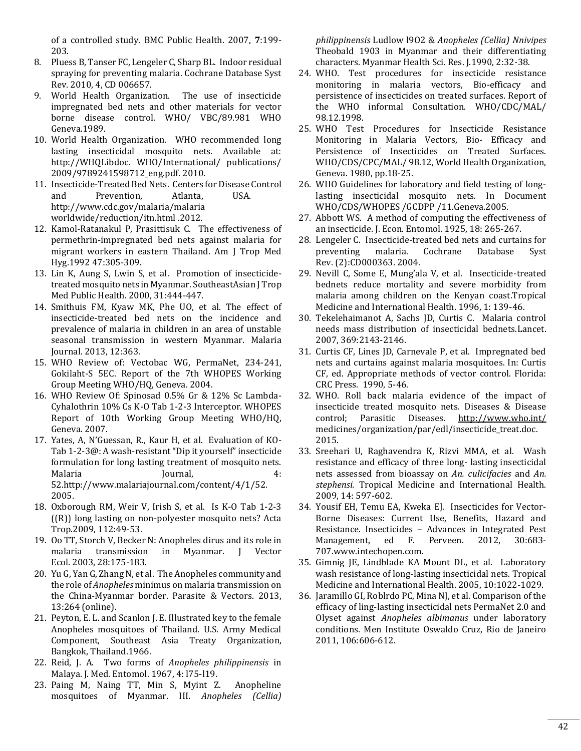of a controlled study. BMC Public Health. 2007, **7**:199- 203.

- 8. Pluess B, Tanser FC, Lengeler C, Sharp BL. Indoor residual spraying for preventing malaria. Cochrane Database Syst Rev. 2010, 4, CD 006657.
- 9. World Health Organization. The use of insecticide impregnated bed nets and other materials for vector borne disease control. WHO/ VBC/89.981 WHO Geneva.1989.
- 10. World Health Organization. WHO recommended long lasting insecticidal mosquito nets. Available at: http://WHQLibdoc. WHO/International/ publications/ 2009/9789241598712\_eng.pdf. 2010.
- 11. Insecticide-Treated Bed Nets. Centers for Disease Control and Prevention, Atlanta, USA. http://www.cdc.gov/malaria/malaria worldwide/reduction/itn.html .2012.
- 12. Kamol-Ratanakul P, Prasittisuk C. The effectiveness of permethrin-impregnated bed nets against malaria for migrant workers in eastern Thailand. Am J Trop Med Hyg.1992 47:305-309.
- 13. Lin K, Aung S, Lwin S, et al. Promotion of insecticidetreated mosquito nets in Myanmar. SoutheastAsian J Trop Med Public Health. 2000, 31:444-447.
- 14. Smithuis FM, Kyaw MK, Phe UO, et al. The effect of insecticide-treated bed nets on the incidence and prevalence of malaria in children in an area of unstable seasonal transmission in western Myanmar. Malaria Journal. 2013, 12:363.
- 15. WHO Review of: Vectobac WG, PermaNet, 234-241, Gokilaht-S 5EC. Report of the 7th WHOPES Working Group Meeting WHO/HQ, Geneva. 2004.
- 16. WHO Review Of: Spinosad 0.5% Gr & 12% Sc Lambda-Cyhalothrin 10% Cs K-O Tab 1-2-3 Interceptor. WHOPES Report of 10th Working Group Meeting WHO/HQ, Geneva. 2007.
- 17. Yates, A, N'Guessan, R., Kaur H, et al. Evaluation of KO-Tab 1-2-3@: A wash-resistant "Dip it yourself" insecticide formulation for long lasting treatment of mosquito nets. Malaria 100 Journal, 120 Journal, 120 4: 52.http://www.malariajournal.com/content/4/1/52. 2005.
- 18. Oxborough RM, Weir V, Irish S, et al. Is K-O Tab 1-2-3 ((R)) long lasting on non-polyester mosquito nets? Acta Trop.2009, 112:49-53.
- 19. Oo TT, Storch V, Becker N: Anopheles dirus and its role in malaria transmission in Myanmar. J Vector Ecol. 2003, 28:175-183.
- 20. Yu G, Yan G, Zhang N, et al. The Anopheles community and the role of *Anopheles* minimus on malaria transmission on the China-Myanmar border. Parasite & Vectors. 2013, 13:264 (online).
- 21. Peyton, E. L. and Scanlon J. E. Illustrated key to the female Anopheles mosquitoes of Thailand. U.S. Army Medical Component, Southeast Asia Treaty Organization, Bangkok, Thailand.1966.
- 22. Reid, J. A. Two forms of *Anopheles philippinensis* in Malaya. J. Med. Entomol. 1967, 4: l75-l19.
- 23. Paing M, Naing TT, Min S, Myint Z. Anopheline mosquitoes of Myanmar. III. *Anopheles (Cellia)*

*philippinensis* Ludlow l9O2 & *Anopheles (Cellia) Nnivipes* Theobald 1903 in Myanmar and their differentiating characters. Myanmar Health Sci. Res. J.1990, 2:32-38.

- 24. WHO. Test procedures for insecticide resistance monitoring in malaria vectors, Bio-efficacy and persistence of insecticides on treated surfaces. Report of the WHO informal Consultation. WHO/CDC/MAL/ 98.12.1998.
- 25. WHO Test Procedures for Insecticide Resistance Monitoring in Malaria Vectors, Bio- Efficacy and Persistence of Insecticides on Treated Surfaces. WHO/CDS/CPC/MAL/ 98.12, World Health Organization, Geneva. 1980, pp.18-25.
- 26. WHO Guidelines for laboratory and field testing of longlasting insecticidal mosquito nets. In Document WHO/CDS/WHOPES /GCDPP /11.Geneva*.*2005.
- 27. Abbott WS. A method of computing the effectiveness of an insecticide. J. Econ. Entomol. 1925, 18: 265-267.
- 28. Lengeler C. Insecticide-treated bed nets and curtains for preventing malaria. Cochrane Database Syst Rev. (2):CD000363. 2004.
- 29. Nevill C, Some E, Mung'ala V, et al. Insecticide-treated bednets reduce mortality and severe morbidity from malaria among children on the Kenyan coast.Tropical Medicine and International Health. 1996, 1: 139-46.
- 30. Tekelehaimanot A, Sachs JD, Curtis C. Malaria control needs mass distribution of insecticidal bednets.Lancet. 2007, 369:2143-2146.
- 31. Curtis CF, Lines JD, Carnevale P, et al. Impregnated bed nets and curtains against malaria mosquitoes. In: Curtis CF, ed. Appropriate methods of vector control. Florida: CRC Press. 1990, 5-46.
- 32. WHO. Roll back malaria evidence of the impact of insecticide treated mosquito nets. Diseases & Disease control; Parasitic Diseases. <http://www.who.int/> medicines/organization/par/edl/insecticide\_treat.doc. 2015.
- 33. Sreehari U, Raghavendra K, Rizvi MMA, et al. Wash resistance and efficacy of three long- lasting insecticidal nets assessed from bioassay on *An. culicifacies* and *An. stephensi.* Tropical Medicine and International Health. 2009, 14: 597-602.
- 34. Yousif EH, Temu EA, Kweka EJ. Insecticides for Vector-Borne Diseases: Current Use, Benefits, Hazard and Resistance. Insecticides – Advances in Integrated Pest Management, ed F. Perveen. 2012, 30:683- 707.www.intechopen.com.
- 35. Gimnig JE, Lindblade KA Mount DL, et al. Laboratory wash resistance of long-lasting insecticidal nets. Tropical Medicine and International Health. 2005, 10:1022-1029.
- 36. Jaramillo GI, Roblrdo PC, Mina NJ, et al. Comparison of the efficacy of ling-lasting insecticidal nets PermaNet 2.0 and Olyset against *Anopheles albimanus* under laboratory conditions. Men Institute Oswaldo Cruz, Rio de Janeiro 2011, 106:606-612.